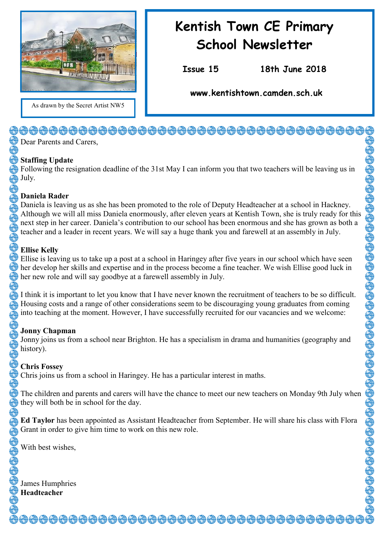

#### As drawn by the Secret Artist NW5

# **Kentish Town CE Primary School Newsletter**

**Issue 15 18th June 2018**

**www.kentishtown.camden.sch.uk** 

<del>\@@@@@@@@@@@@@@@@@@@@@@@@@@@</del>@@@@@

Dear Parents and Carers.

#### **Staffing Update**

Following the resignation deadline of the 31st May I can inform you that two teachers will be leaving us in July.

#### **Daniela Rader**

Daniela is leaving us as she has been promoted to the role of Deputy Headteacher at a school in Hackney. Although we will all miss Daniela enormously, after eleven years at Kentish Town, she is truly ready for this next step in her career. Daniela's contribution to our school has been enormous and she has grown as both a teacher and a leader in recent years. We will say a huge thank you and farewell at an assembly in July.

#### **Ellise Kelly**

Ellise is leaving us to take up a post at a school in Haringey after five years in our school which have seen her develop her skills and expertise and in the process become a fine teacher. We wish Ellise good luck in her new role and will say goodbye at a farewell assembly in July.

I think it is important to let you know that I have never known the recruitment of teachers to be so difficult. Housing costs and a range of other considerations seem to be discouraging young graduates from coming into teaching at the moment. However, I have successfully recruited for our vacancies and we welcome:

#### **Jonny Chapman**

Jonny joins us from a school near Brighton. He has a specialism in drama and humanities (geography and history).

#### **Chris Fossey**

Chris joins us from a school in Haringey. He has a particular interest in maths.

The children and parents and carers will have the chance to meet our new teachers on Monday 9th July when they will both be in school for the day.

**Ed Taylor** has been appointed as Assistant Headteacher from September. He will share his class with Flora Grant in order to give him time to work on this new role.

With best wishes,

James Humphries **Headteacher**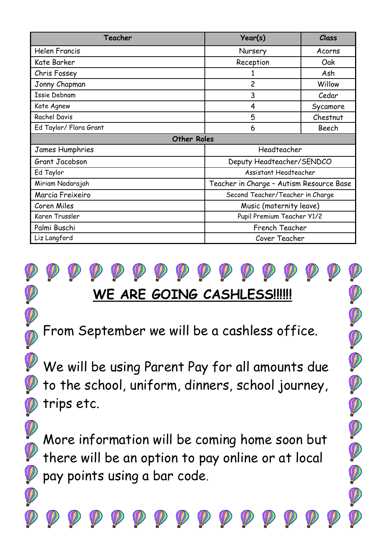| Teacher                | Year(s)                                  | Class    |
|------------------------|------------------------------------------|----------|
| <b>Helen Francis</b>   | Nursery                                  | Acorns   |
| Kate Barker            | Reception                                | Oak      |
| Chris Fossey           |                                          | Ash      |
| Jonny Chapman          | 2                                        | Willow   |
| <b>Issie Debnam</b>    | 3                                        | Cedar    |
| Kate Agnew             | 4                                        | Sycamore |
| <b>Rachel Davis</b>    | 5                                        | Chestnut |
| Ed Taylor/ Flora Grant | 6                                        | Beech    |
| <b>Other Roles</b>     |                                          |          |
| James Humphries        | Headteacher                              |          |
| Grant Jacobson         | Deputy Headteacher/SENDCO                |          |
| Ed Taylor              | Assistant Headteacher                    |          |
| Miriam Nadarajah       | Teacher in Charge - Autism Resource Base |          |
| Marcia Freixeiro       | Second Teacher/Teacher in Charge         |          |
| Coren Miles            | Music (maternity leave)                  |          |
| Karen Trussler         | Pupil Premium Teacher Y1/2               |          |
| Palmi Buschi           | French Teacher                           |          |
| Liz Langford           | Cover Teacher                            |          |



From September we will be a cashless office.

We will be using Parent Pay for all amounts due to the school, uniform, dinners, school journey, trips etc.

DOODOODOO

More information will be coming home soon but there will be an option to pay online or at local pay points using a bar code.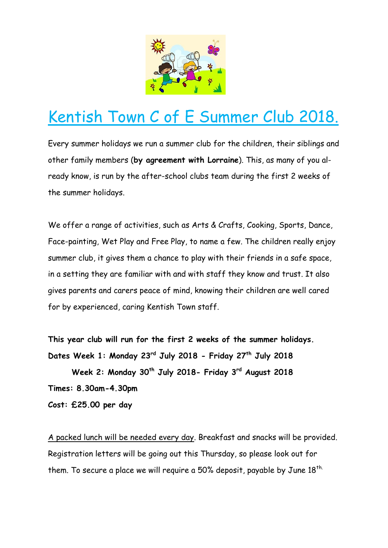

# Kentish Town C of E Summer Club 2018.

Every summer holidays we run a summer club for the children, their siblings and other family members (**by agreement with Lorraine**). This, as many of you already know, is run by the after-school clubs team during the first 2 weeks of the summer holidays.

We offer a range of activities, such as Arts & Crafts, Cooking, Sports, Dance, Face-painting, Wet Play and Free Play, to name a few. The children really enjoy summer club, it gives them a chance to play with their friends in a safe space, in a setting they are familiar with and with staff they know and trust. It also gives parents and carers peace of mind, knowing their children are well cared for by experienced, caring Kentish Town staff.

**This year club will run for the first 2 weeks of the summer holidays. Dates Week 1: Monday 23rd July 2018 - Friday 27th July 2018**

 **Week 2: Monday 30th July 2018- Friday 3rd August 2018**

**Times: 8.30am-4.30pm**

**Cost: £25.00 per day**

A packed lunch will be needed every day. Breakfast and snacks will be provided. Registration letters will be going out this Thursday, so please look out for them. To secure a place we will require a 50% deposit, payable by June  $18^{th}$ .